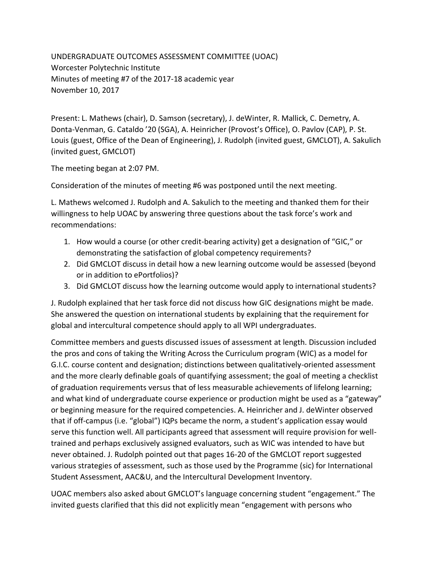UNDERGRADUATE OUTCOMES ASSESSMENT COMMITTEE (UOAC) Worcester Polytechnic Institute Minutes of meeting #7 of the 2017-18 academic year November 10, 2017

Present: L. Mathews (chair), D. Samson (secretary), J. deWinter, R. Mallick, C. Demetry, A. Donta-Venman, G. Cataldo '20 (SGA), A. Heinricher (Provost's Office), O. Pavlov (CAP), P. St. Louis (guest, Office of the Dean of Engineering), J. Rudolph (invited guest, GMCLOT), A. Sakulich (invited guest, GMCLOT)

The meeting began at 2:07 PM.

Consideration of the minutes of meeting #6 was postponed until the next meeting.

L. Mathews welcomed J. Rudolph and A. Sakulich to the meeting and thanked them for their willingness to help UOAC by answering three questions about the task force's work and recommendations:

- 1. How would a course (or other credit-bearing activity) get a designation of "GIC," or demonstrating the satisfaction of global competency requirements?
- 2. Did GMCLOT discuss in detail how a new learning outcome would be assessed (beyond or in addition to ePortfolios)?
- 3. Did GMCLOT discuss how the learning outcome would apply to international students?

J. Rudolph explained that her task force did not discuss how GIC designations might be made. She answered the question on international students by explaining that the requirement for global and intercultural competence should apply to all WPI undergraduates.

Committee members and guests discussed issues of assessment at length. Discussion included the pros and cons of taking the Writing Across the Curriculum program (WIC) as a model for G.I.C. course content and designation; distinctions between qualitatively-oriented assessment and the more clearly definable goals of quantifying assessment; the goal of meeting a checklist of graduation requirements versus that of less measurable achievements of lifelong learning; and what kind of undergraduate course experience or production might be used as a "gateway" or beginning measure for the required competencies. A. Heinricher and J. deWinter observed that if off-campus (i.e. "global") IQPs became the norm, a student's application essay would serve this function well. All participants agreed that assessment will require provision for welltrained and perhaps exclusively assigned evaluators, such as WIC was intended to have but never obtained. J. Rudolph pointed out that pages 16-20 of the GMCLOT report suggested various strategies of assessment, such as those used by the Programme (sic) for International Student Assessment, AAC&U, and the Intercultural Development Inventory.

UOAC members also asked about GMCLOT's language concerning student "engagement." The invited guests clarified that this did not explicitly mean "engagement with persons who